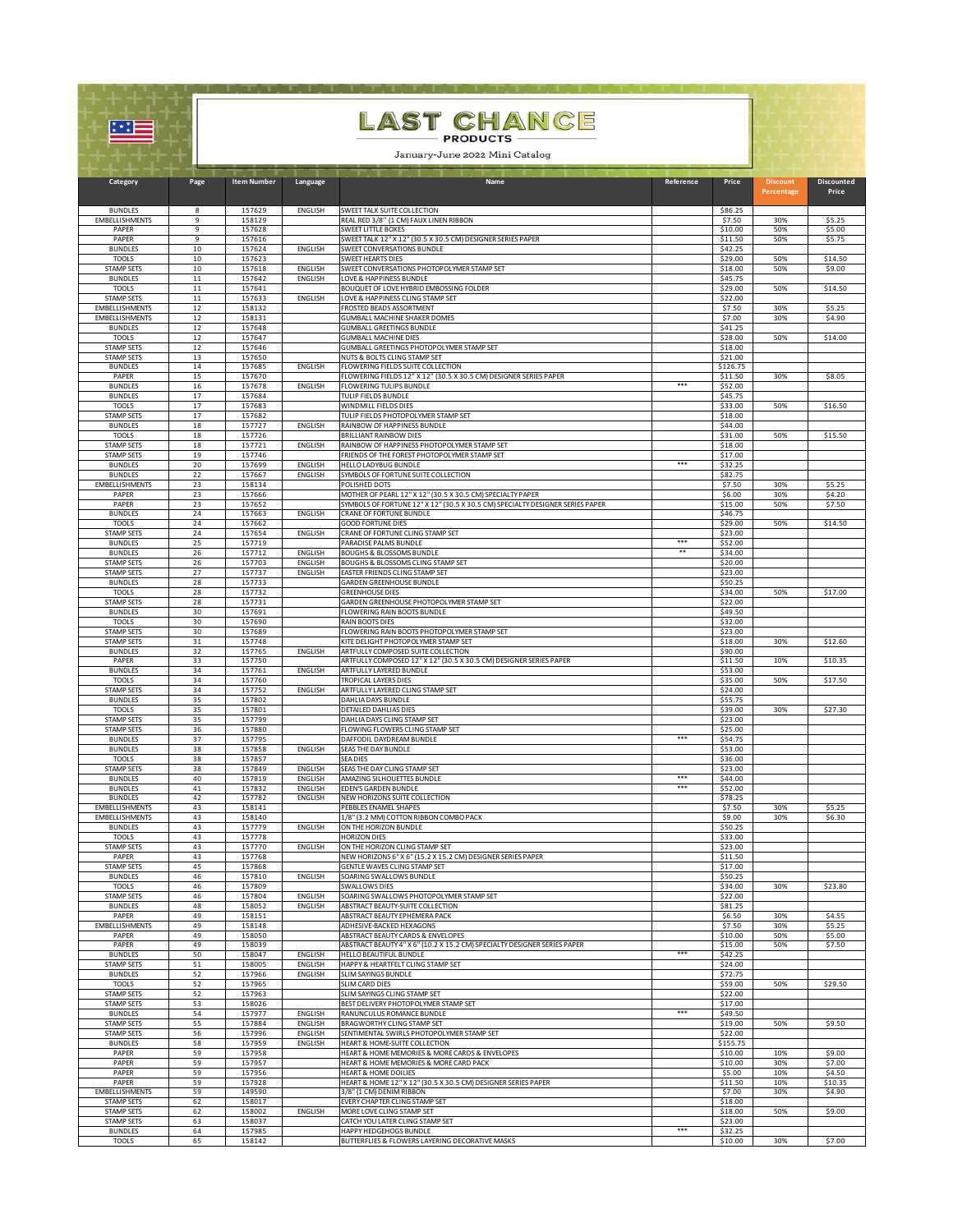|                                            |          | <b>LAST CHANCE</b><br>- PRODUCTS<br>January-June 2022 Mini Catalog |                                  |                                                                                                                 |           |                     |                               |                            |  |  |
|--------------------------------------------|----------|--------------------------------------------------------------------|----------------------------------|-----------------------------------------------------------------------------------------------------------------|-----------|---------------------|-------------------------------|----------------------------|--|--|
| Category                                   | Page     | <b>Item Number</b>                                                 | Language                         | Name                                                                                                            | Reference | Price               | <b>Discount</b><br>Percentage | <b>Discounted</b><br>Price |  |  |
| <b>BUNDLES</b>                             | 8        | 157629                                                             | <b>ENGLISH</b>                   | SWEET TALK SUITE COLLECTION                                                                                     |           | \$86.25             |                               |                            |  |  |
| <b>EMBELLISHMENTS</b><br>PAPER             | 9<br>9   | 158129<br>157628                                                   |                                  | REAL RED 3/8" (1 CM) FAUX LINEN RIBBON<br>SWEET LITTLE BOXES                                                    |           | \$7.50<br>\$10.00   | 30%<br>50%                    | \$5.25<br>\$5.00           |  |  |
| PAPER                                      | 9        | 157616                                                             |                                  | SWEET TALK 12" X 12" (30.5 X 30.5 CM) DESIGNER SERIES PAPER                                                     |           | \$11.50             | 50%                           | \$5.75                     |  |  |
| <b>BUNDLES</b><br><b>TOOLS</b>             | 10<br>10 | 157624<br>157623                                                   | ENGLISH                          | SWEET CONVERSATIONS BUNDLE<br><b>SWEET HEARTS DIES</b>                                                          |           | \$42.25<br>\$29.00  | 50%                           | \$14.50                    |  |  |
| <b>STAMP SETS</b>                          | 10       | 157618                                                             | ENGLISH                          | SWEET CONVERSATIONS PHOTOPOLYMER STAMP SET                                                                      |           | \$18.00             | 50%                           | \$9.00                     |  |  |
| <b>BUNDLES</b><br><b>TOOLS</b>             | 11<br>11 | 157642<br>157641                                                   | <b>ENGLISH</b>                   | LOVE & HAPPINESS BUNDLE<br>BOUQUET OF LOVE HYBRID EMBOSSING FOLDER                                              |           | \$45.75<br>\$29.00  | 50%                           | \$14.50                    |  |  |
| <b>STAMP SETS</b><br><b>EMBELLISHMENTS</b> | 11<br>12 | 157633<br>158132                                                   | ENGLISH                          | LOVE & HAPPINESS CLING STAMP SET<br>FROSTED BEADS ASSORTMENT                                                    |           | \$22.00<br>\$7.50   | 30%                           | \$5.25                     |  |  |
| <b>EMBELLISHMENTS</b>                      | 12       | 158131                                                             |                                  | GUMBALL MACHINE SHAKER DOMES                                                                                    |           | \$7.00              | 30%                           | \$4.90                     |  |  |
| <b>BUNDLES</b><br><b>TOOLS</b>             | 12<br>12 | 157648<br>157647                                                   |                                  | GUMBALL GREETINGS BUNDLE<br><b>GUMBALL MACHINE DIES</b>                                                         |           | \$41.25<br>\$28.00  | 50%                           | \$14.00                    |  |  |
| <b>STAMP SETS</b>                          | 12       | 157646                                                             |                                  | GUMBALL GREETINGS PHOTOPOLYMER STAMP SET                                                                        |           | \$18.00             |                               |                            |  |  |
| <b>STAMP SETS</b><br><b>BUNDLES</b>        | 13<br>14 | 157650<br>157685                                                   | ENGLISH                          | NUTS & BOLTS CLING STAMP SET<br>FLOWERING FIELDS SUITE COLLECTION                                               |           | \$21.00<br>\$126.75 |                               |                            |  |  |
| PAPER<br><b>BUNDLES</b>                    | 15<br>16 | 157670<br>157678                                                   | <b>ENGLISH</b>                   | FLOWERING FIELDS 12" X 12" (30.5 X 30.5 CM) DESIGNER SERIES PAPER<br>FLOWERING TULIPS BUNDLE                    | ***       | \$11.50<br>\$52.00  | 30%                           | \$8.05                     |  |  |
| <b>BUNDLES</b>                             | 17       | 157684                                                             |                                  | TULIP FIELDS BUNDLE                                                                                             |           | \$45.75             |                               |                            |  |  |
| <b>TOOLS</b><br><b>STAMP SETS</b>          | 17<br>17 | 157683<br>157682                                                   |                                  | WINDMILL FIELDS DIES<br>TULIP FIELDS PHOTOPOLYMER STAMP SET                                                     |           | \$33.00<br>\$18.00  | 50%                           | \$16.50                    |  |  |
| <b>BUNDLES</b><br><b>TOOLS</b>             | 18<br>18 | 157727<br>157726                                                   | <b>ENGLISH</b>                   | RAINBOW OF HAPPINESS BUNDLE<br><b>BRILLIANT RAINBOW DIES</b>                                                    |           | \$44.00<br>\$31.00  | 50%                           | \$15.50                    |  |  |
| <b>STAMP SETS</b>                          | 18       | 157721                                                             | ENGLISH                          | RAINBOW OF HAPPINESS PHOTOPOLYMER STAMP SET                                                                     |           | \$18.00             |                               |                            |  |  |
| <b>STAMP SETS</b><br><b>BUNDLES</b>        | 19<br>20 | 157746<br>157699                                                   | ENGLISH                          | FRIENDS OF THE FOREST PHOTOPOLYMER STAMP SET<br>HELLO LADYBUG BUNDLE                                            | ***       | \$17.00<br>\$32.25  |                               |                            |  |  |
| <b>BUNDLES</b>                             | 22       | 157667                                                             | <b>ENGLISH</b>                   | SYMBOLS OF FORTUNE SUITE COLLECTION                                                                             |           | \$82.75             |                               |                            |  |  |
| <b>EMBELLISHMENTS</b><br>PAPER             | 23<br>23 | 158134<br>157666                                                   |                                  | POLISHED DOTS<br>MOTHER OF PEARL 12" X 12" (30.5 X 30.5 CM) SPECIALTY PAPER                                     |           | \$7.50<br>\$6.00    | 30%<br>30%                    | \$5.25<br>\$4.20           |  |  |
| PAPER<br><b>BUNDLES</b>                    | 23<br>24 | 157652<br>157663                                                   | ENGLISH                          | SYMBOLS OF FORTUNE 12" X 12" (30.5 X 30.5 CM) SPECIALTY DESIGNER SERIES PAPER<br><b>CRANE OF FORTUNE BUNDLE</b> |           | \$15.00<br>\$46.75  | 50%                           | \$7.50                     |  |  |
| <b>TOOLS</b>                               | 24       | 157662                                                             |                                  | <b>GOOD FORTUNE DIES</b>                                                                                        |           | \$29.00             | 50%                           | \$14.50                    |  |  |
| <b>STAMP SETS</b><br><b>BUNDLES</b>        | 24<br>25 | 157654<br>157719                                                   | <b>ENGLISH</b>                   | CRANE OF FORTUNE CLING STAMP SET<br>PARADISE PALMS BUNDLE                                                       | ***       | \$23.00<br>\$52.00  |                               |                            |  |  |
| <b>BUNDLES</b>                             | 26       | 157712                                                             | ENGLISH                          | <b>BOUGHS &amp; BLOSSOMS BUNDLE</b>                                                                             | **        | \$34.00             |                               |                            |  |  |
| <b>STAMP SETS</b><br><b>STAMP SETS</b>     | 26<br>27 | 157703<br>157737                                                   | <b>ENGLISH</b><br><b>ENGLISH</b> | BOUGHS & BLOSSOMS CLING STAMP SET<br>EASTER FRIENDS CLING STAMP SET                                             |           | \$20.00<br>\$23.00  |                               |                            |  |  |
| <b>BUNDLES</b><br><b>TOOLS</b>             | 28<br>28 | 157733<br>157732                                                   |                                  | <b>GARDEN GREENHOUSE BUNDLE</b><br><b>GREENHOUSE DIES</b>                                                       |           | \$50.25<br>\$34.00  | 50%                           | \$17.00                    |  |  |
| <b>STAMP SETS</b>                          | 28       | 157731                                                             |                                  | GARDEN GREENHOUSE PHOTOPOLYMER STAMP SET                                                                        |           | \$22.00             |                               |                            |  |  |
| <b>BUNDLES</b><br><b>TOOLS</b>             | 30<br>30 | 157691<br>157690                                                   |                                  | FLOWERING RAIN BOOTS BUNDLE<br><b>RAIN BOOTS DIES</b>                                                           |           | \$49.50<br>\$32.00  |                               |                            |  |  |
| <b>STAMP SETS</b>                          | 30       | 157689                                                             |                                  | FLOWERING RAIN BOOTS PHOTOPOLYMER STAMP SET                                                                     |           | \$23.00             |                               |                            |  |  |
| <b>STAMP SETS</b><br><b>BUNDLES</b>        | 31<br>32 | 157748<br>157765                                                   | ENGLISH                          | KITE DELIGHT PHOTOPOLYMER STAMP SET<br>ARTFULLY COMPOSED SUITE COLLECTION                                       |           | \$18.00<br>\$90.00  | 30%                           | \$12.60                    |  |  |
| PAPER<br><b>BUNDLES</b>                    | 33<br>34 | 157750<br>157761                                                   | <b>ENGLISH</b>                   | ARTFULLY COMPOSED 12" X 12" (30.5 X 30.5 CM) DESIGNER SERIES PAPER<br>ARTFULLY LAYERED BUNDLE                   |           | \$11.50<br>\$53.00  | 10%                           | \$10.35                    |  |  |
| <b>TOOLS</b>                               | 34       | 157760                                                             |                                  | TROPICAL LAYERS DIES                                                                                            |           | \$35.00             | 50%                           | \$17.50                    |  |  |
| <b>STAMP SETS</b><br><b>BUNDLES</b>        | 34<br>35 | 157752<br>157802                                                   | <b>FNGLISH</b>                   | ARTFULLY LAYERED CLING STAMP SET<br>DAHLIA DAYS BUNDLE                                                          |           | \$24.00<br>\$55.75  |                               |                            |  |  |
| <b>TOOLS</b><br><b>STAMP SETS</b>          | 35<br>35 | 157801<br>157799                                                   |                                  | DETAILED DAHLIAS DIES<br>DAHLIA DAYS CLING STAMP SET                                                            |           | \$39.00<br>\$23.00  | 30%                           | \$27.30                    |  |  |
| <b>STAMP SETS</b>                          | 36       | 157880                                                             |                                  | FLOWING FLOWERS CLING STAMP SET                                                                                 |           | \$25.00             |                               |                            |  |  |
| <b>BUNDLES</b><br><b>BUNDLES</b>           | 37<br>38 | 157795<br>157858                                                   | ENGLISH                          | DAFFODIL DAYDREAM BUNDLE<br>SEAS THE DAY BUNDLE                                                                 | ***       | \$54.75<br>\$53.00  |                               |                            |  |  |
| <b>TOOLS</b><br><b>STAMP SETS</b>          | 38<br>38 | 157857<br>157849                                                   | <b>ENGLISH</b>                   | <b>SEADIES</b><br>SEAS THE DAY CLING STAMP SET                                                                  |           | \$36.00<br>\$23.00  |                               |                            |  |  |
| <b>BUNDLES</b>                             | 40       | 157819                                                             | ENGLISH                          | AMAZING SILHOUETTES BUNDLE                                                                                      | ***       | \$44.00             |                               |                            |  |  |
| <b>BUNDLES</b><br><b>BUNDLES</b>           | 41<br>42 | 157832<br>157782                                                   | <b>ENGLISH</b><br>ENGLISH        | EDEN'S GARDEN BUNDLE<br>NEW HORIZONS SUITE COLLECTION                                                           | ***       | \$52.00<br>\$78.25  |                               |                            |  |  |
| <b>EMBELLISHMENTS</b>                      | 43       | 158141                                                             |                                  | PEBBLES ENAMEL SHAPES                                                                                           |           | \$7.50              | 30%                           | \$5.25                     |  |  |
| <b>EMBELLISHMENTS</b><br><b>BUNDLES</b>    | 43<br>43 | 158140<br>157779                                                   | <b>ENGLISH</b>                   | 1/8" (3.2 MM) COTTON RIBBON COMBO PACK<br>ON THE HORIZON BUNDLE                                                 |           | \$9.00<br>\$50.25   | 30%                           | \$6.30                     |  |  |
| <b>TOOLS</b><br><b>STAMP SETS</b>          | 43<br>43 | 157778<br>157770                                                   | ENGLISH                          | <b>HORIZON DIES</b><br>ON THE HORIZON CLING STAMP SET                                                           |           | \$33.00<br>\$23.00  |                               |                            |  |  |
| PAPER                                      | 43       | 157768                                                             |                                  | NEW HORIZONS 6" X 6" (15.2 X 15.2 CM) DESIGNER SERIES PAPER                                                     |           | \$11.50             |                               |                            |  |  |
| <b>STAMP SETS</b><br><b>BUNDLES</b>        | 45<br>46 | 157868<br>157810                                                   | <b>ENGLISH</b>                   | GENTLE WAVES CLING STAMP SET<br>SOARING SWALLOWS BUNDLE                                                         |           | \$17.00<br>\$50.25  |                               |                            |  |  |
| <b>TOOLS</b>                               | 46       | 157809                                                             |                                  | SWALLOWS DIES                                                                                                   |           | \$34.00             | 30%                           | \$23.80                    |  |  |
| <b>STAMP SETS</b><br><b>BUNDLES</b>        | 46<br>48 | 157804<br>158052                                                   | <b>ENGLISH</b><br>ENGLISH        | SOARING SWALLOWS PHOTOPOLYMER STAMP SET<br>ABSTRACT BEAUTY-SUITE COLLECTION                                     |           | \$22.00<br>\$81.25  |                               |                            |  |  |
| PAPER<br><b>EMBELLISHMENTS</b>             | 49<br>49 | 158151<br>158148                                                   |                                  | ABSTRACT BEAUTY EPHEMERA PACK<br>ADHESIVE-BACKED HEXAGONS                                                       |           | \$6.50<br>\$7.50    | 30%<br>30%                    | \$4.55<br>\$5.25           |  |  |
| PAPER                                      | 49       | 158050                                                             |                                  | ABSTRACT BEAUTY CARDS & ENVELOPES                                                                               |           | \$10.00             | 50%                           | \$5.00                     |  |  |
| PAPER<br><b>BUNDLES</b>                    | 49<br>50 | 158039<br>158047                                                   | ENGLISH                          | ABSTRACT BEAUTY 4" X 6" (10.2 X 15.2 CM) SPECIALTY DESIGNER SERIES PAPER<br>HELLO BEAUTIFUL BUNDLE              | ***       | \$15.00<br>\$42.25  | 50%                           | \$7.50                     |  |  |
| <b>STAMP SETS</b><br><b>BUNDLES</b>        | 51<br>52 | 158005<br>157966                                                   | ENGLISH<br><b>ENGLISH</b>        | HAPPY & HEARTFELT CLING STAMP SET<br>SLIM SAYINGS BUNDLE                                                        |           | \$24.00<br>\$72.75  |                               |                            |  |  |
| <b>TOOLS</b>                               | 52       | 157965                                                             |                                  | <b>SLIM CARD DIES</b>                                                                                           |           | \$59.00             | 50%                           | \$29.50                    |  |  |
| <b>STAMP SETS</b><br><b>STAMP SETS</b>     | 52<br>53 | 157963<br>158026                                                   |                                  | SLIM SAYINGS CLING STAMP SET<br>BEST DELIVERY PHOTOPOLYMER STAMP SET                                            |           | \$22.00<br>\$17.00  |                               |                            |  |  |
| <b>BUNDLES</b>                             | 54       | 157977<br>157884                                                   | ENGLISH<br><b>ENGLISH</b>        | RANUNCULUS ROMANCE BUNDLE<br>BRAGWORTHY CLING STAMP SET                                                         | ***       | \$49.50<br>\$19.00  |                               | \$9.50                     |  |  |
| <b>STAMP SETS</b><br><b>STAMP SETS</b>     | 55<br>56 | 157996                                                             | ENGLISH                          | SENTIMENTAL SWIRLS PHOTOPOLYMER STAMP SET                                                                       |           | \$22.00             | 50%                           |                            |  |  |
| <b>BUNDLES</b><br>PAPER                    | 58<br>59 | 157959<br>157958                                                   | ENGLISH                          | HEART & HOME-SUITE COLLECTION<br>HEART & HOME MEMORIES & MORE CARDS & ENVELOPES                                 |           | \$155.75<br>\$10.00 | 10%                           | \$9.00                     |  |  |
| PAPER                                      | 59       | 157957                                                             |                                  | HEART & HOME MEMORIES & MORE CARD PACK                                                                          |           | \$10.00             | 30%                           | \$7.00                     |  |  |
| PAPER<br>PAPER                             | 59<br>59 | 157956<br>157928                                                   |                                  | <b>HEART &amp; HOME DOILIES</b><br>HEART & HOME 12" X 12" (30.5 X 30.5 CM) DESIGNER SERIES PAPER                |           | \$5.00<br>\$11.50   | 10%<br>10%                    | \$4.50<br>\$10.35          |  |  |
| <b>EMBELLISHMENTS</b><br><b>STAMP SETS</b> | 59       | 149590<br>158017                                                   |                                  | 3/8" (1 CM) DENIM RIBBON<br>EVERY CHAPTER CLING STAMP SET                                                       |           | \$7.00<br>\$18.00   | 30%                           | \$4.90                     |  |  |
| <b>STAMP SETS</b>                          | 62<br>62 | 158002                                                             | <b>ENGLISH</b>                   | MORE LOVE CLING STAMP SET                                                                                       |           | \$18.00             | 50%                           | \$9.00                     |  |  |
| <b>STAMP SETS</b><br><b>BUNDLES</b>        | 63<br>64 | 158037<br>157985                                                   |                                  | CATCH YOU LATER CLING STAMP SET<br>HAPPY HEDGEHOGS BUNDLE                                                       | ***       | \$23.00<br>\$32.25  |                               |                            |  |  |
| <b>TOOLS</b>                               | 65       | 158142                                                             |                                  | BUTTERFLIES & FLOWERS LAYERING DECORATIVE MASKS                                                                 |           | \$10.00             | 30%                           | \$7.00                     |  |  |